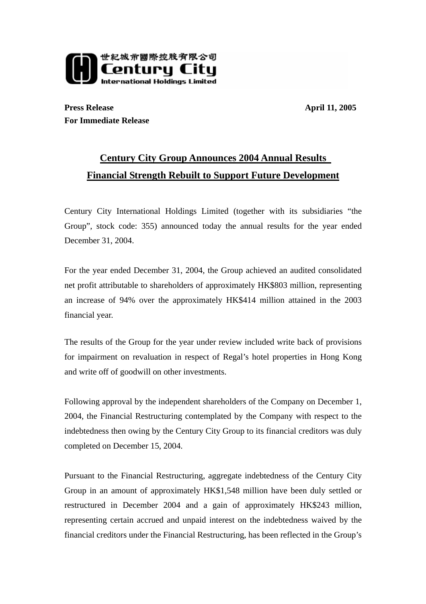

**Press Release** April 11, 2005 **For Immediate Release**

## **Century City Group Announces 2004 Annual Results Financial Strength Rebuilt to Support Future Development**

Century City International Holdings Limited (together with its subsidiaries "the Group", stock code: 355) announced today the annual results for the year ended December 31, 2004.

For the year ended December 31, 2004, the Group achieved an audited consolidated net profit attributable to shareholders of approximately HK\$803 million, representing an increase of 94% over the approximately HK\$414 million attained in the 2003 financial year.

The results of the Group for the year under review included write back of provisions for impairment on revaluation in respect of Regal's hotel properties in Hong Kong and write off of goodwill on other investments.

Following approval by the independent shareholders of the Company on December 1, 2004, the Financial Restructuring contemplated by the Company with respect to the indebtedness then owing by the Century City Group to its financial creditors was duly completed on December 15, 2004.

Pursuant to the Financial Restructuring, aggregate indebtedness of the Century City Group in an amount of approximately HK\$1,548 million have been duly settled or restructured in December 2004 and a gain of approximately HK\$243 million, representing certain accrued and unpaid interest on the indebtedness waived by the financial creditors under the Financial Restructuring, has been reflected in the Group's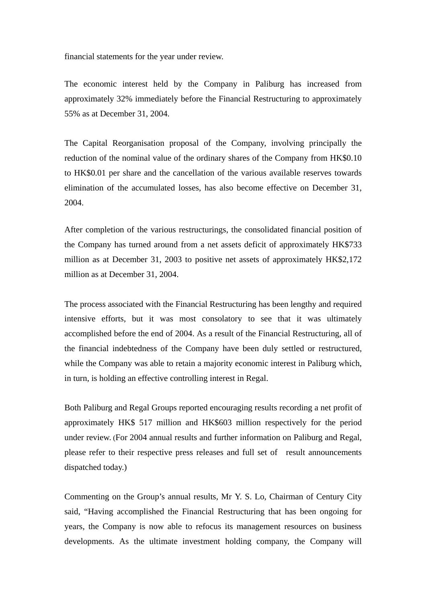financial statements for the year under review.

The economic interest held by the Company in Paliburg has increased from approximately 32% immediately before the Financial Restructuring to approximately 55% as at December 31, 2004.

The Capital Reorganisation proposal of the Company, involving principally the reduction of the nominal value of the ordinary shares of the Company from HK\$0.10 to HK\$0.01 per share and the cancellation of the various available reserves towards elimination of the accumulated losses, has also become effective on December 31, 2004.

After completion of the various restructurings, the consolidated financial position of the Company has turned around from a net assets deficit of approximately HK\$733 million as at December 31, 2003 to positive net assets of approximately HK\$2,172 million as at December 31, 2004.

The process associated with the Financial Restructuring has been lengthy and required intensive efforts, but it was most consolatory to see that it was ultimately accomplished before the end of 2004. As a result of the Financial Restructuring, all of the financial indebtedness of the Company have been duly settled or restructured, while the Company was able to retain a majority economic interest in Paliburg which, in turn, is holding an effective controlling interest in Regal.

Both Paliburg and Regal Groups reported encouraging results recording a net profit of approximately HK\$ 517 million and HK\$603 million respectively for the period under review. (For 2004 annual results and further information on Paliburg and Regal, please refer to their respective press releases and full set of result announcements dispatched today.)

Commenting on the Group's annual results, Mr Y. S. Lo, Chairman of Century City said, "Having accomplished the Financial Restructuring that has been ongoing for years, the Company is now able to refocus its management resources on business developments. As the ultimate investment holding company, the Company will